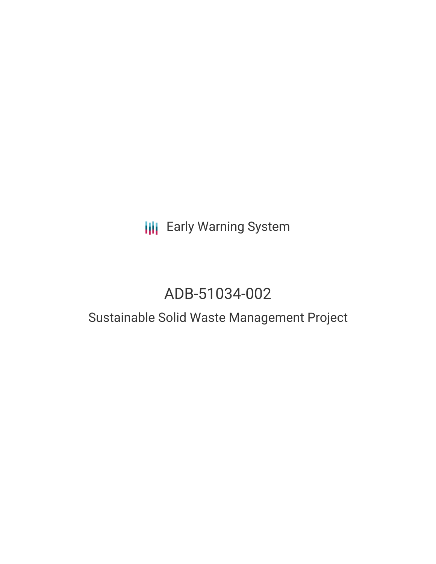# **III** Early Warning System

# ADB-51034-002

### Sustainable Solid Waste Management Project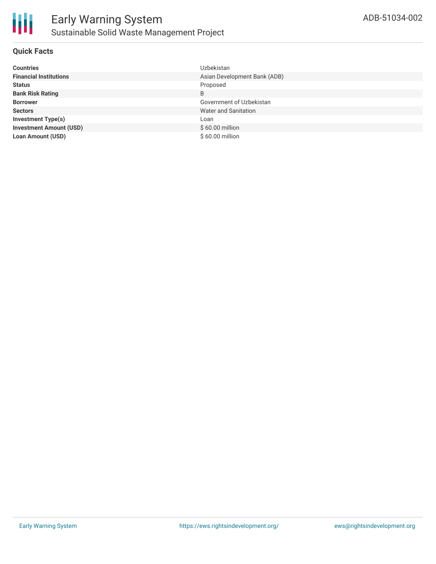

#### **Quick Facts**

| <b>Countries</b>               | Uzbekistan                   |
|--------------------------------|------------------------------|
| <b>Financial Institutions</b>  | Asian Development Bank (ADB) |
| <b>Status</b>                  | Proposed                     |
| <b>Bank Risk Rating</b>        | B                            |
| <b>Borrower</b>                | Government of Uzbekistan     |
| <b>Sectors</b>                 | Water and Sanitation         |
| <b>Investment Type(s)</b>      | Loan                         |
| <b>Investment Amount (USD)</b> | $$60.00$ million             |
| <b>Loan Amount (USD)</b>       | \$60.00 million              |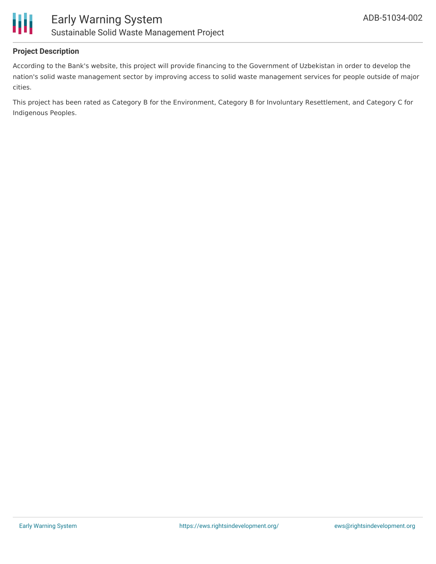

#### **Project Description**

According to the Bank's website, this project will provide financing to the Government of Uzbekistan in order to develop the nation's solid waste management sector by improving access to solid waste management services for people outside of major cities.

This project has been rated as Category B for the Environment, Category B for Involuntary Resettlement, and Category C for Indigenous Peoples.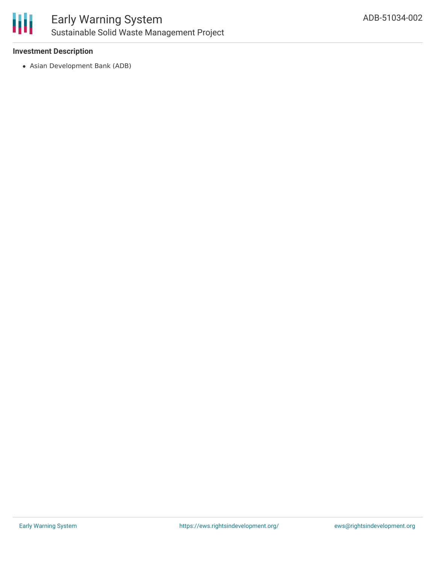

#### **Investment Description**

Asian Development Bank (ADB)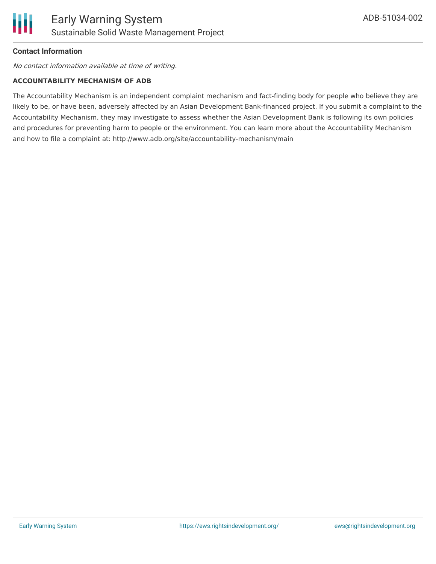#### **Contact Information**

No contact information available at time of writing.

#### **ACCOUNTABILITY MECHANISM OF ADB**

The Accountability Mechanism is an independent complaint mechanism and fact-finding body for people who believe they are likely to be, or have been, adversely affected by an Asian Development Bank-financed project. If you submit a complaint to the Accountability Mechanism, they may investigate to assess whether the Asian Development Bank is following its own policies and procedures for preventing harm to people or the environment. You can learn more about the Accountability Mechanism and how to file a complaint at: http://www.adb.org/site/accountability-mechanism/main